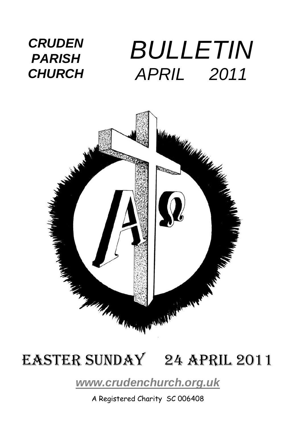### *CRUDEN PARISH CHURCH BULLETIN APRIL 2011*



## EASTER SUNDAY 24 April 2011

### *[www.crudenchurch.org.uk](http://www.crudenchurch.org.uk/)*

A Registered Charity SC 006408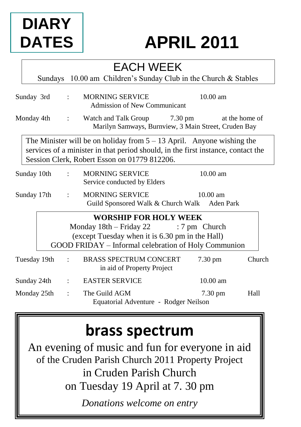# **DIARY DATES**

# **APRIL 2011**

## EACH WEEK

Sundays 10.00 am Children's Sunday Club in the Church & Stables

| Sunday 3rd   |             | $\mathbf{r}$         | <b>MORNING SERVICE</b><br>Admission of New Communicant                                                                                                                                                      | $10.00$ am        |
|--------------|-------------|----------------------|-------------------------------------------------------------------------------------------------------------------------------------------------------------------------------------------------------------|-------------------|
| Monday 4th   |             | $1 - 1$              | Watch and Talk Group 7.30 pm<br>Marilyn Samways, Burnview, 3 Main Street, Cruden Bay                                                                                                                        | at the home of    |
|              |             |                      | The Minister will be on holiday from $5 - 13$ April. Anyone wishing the<br>services of a minister in that period should, in the first instance, contact the<br>Session Clerk, Robert Esson on 01779 812206. |                   |
| Sunday 10th  |             |                      | <b>MORNING SERVICE</b><br>Service conducted by Elders                                                                                                                                                       | $10.00$ am        |
| Sunday 17th  |             | $\ddot{\cdot}$       | <b>MORNING SERVICE</b><br>Guild Sponsored Walk & Church Walk Aden Park                                                                                                                                      | $10.00$ am        |
|              |             |                      | <b>WORSHIP FOR HOLY WEEK</b><br>Monday $18th - Friday 22$ : 7 pm Church<br>(except Tuesday when it is 6.30 pm in the Hall)<br>GOOD FRIDAY – Informal celebration of Holy Communion                          |                   |
| Tuesday 19th |             |                      | <b>BRASS SPECTRUM CONCERT</b><br>in aid of Property Project                                                                                                                                                 | Church<br>7.30 pm |
|              | Sunday 24th | $\ddot{\cdot}$       | <b>EASTER SERVICE</b>                                                                                                                                                                                       | $10.00$ am        |
| Monday 25th  |             | $\ddot{\phantom{a}}$ | The Guild AGM<br>Equatorial Adventure - Rodger Neilson                                                                                                                                                      | 7.30 pm<br>Hall   |

## **brass spectrum**

An evening of music and fun for everyone in aid of the Cruden Parish Church 2011 Property Project in Cruden Parish Church on Tuesday 19 April at 7. 30 pm *Donations welcome on entry*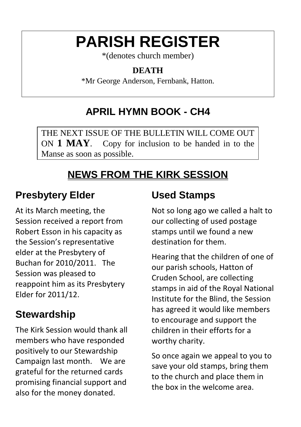# **PARISH REGISTER**

\*(denotes church member)

### **DEATH**

\*Mr George Anderson, Fernbank, Hatton.

## **APRIL HYMN BOOK - CH4**

THE NEXT ISSUE OF THE BULLETIN WILL COME OUT ON **1 MAY**. Copy for inclusion to be handed in to the Manse as soon as possible.

## **NEWS FROM THE KIRK SESSION**

### **Presbytery Elder**

At its March meeting, the Session received a report from Robert Esson in his capacity as the Session's representative elder at the Presbytery of Buchan for 2010/2011. The Session was pleased to reappoint him as its Presbytery Elder for 2011/12.

### **Stewardship**

The Kirk Session would thank all members who have responded positively to our Stewardship Campaign last month. We are grateful for the returned cards promising financial support and also for the money donated.

### **Used Stamps**

Not so long ago we called a halt to our collecting of used postage stamps until we found a new destination for them.

Hearing that the children of one of our parish schools, Hatton of Cruden School, are collecting stamps in aid of the Royal National Institute for the Blind, the Session has agreed it would like members to encourage and support the children in their efforts for a worthy charity.

So once again we appeal to you to save your old stamps, bring them to the church and place them in the box in the welcome area.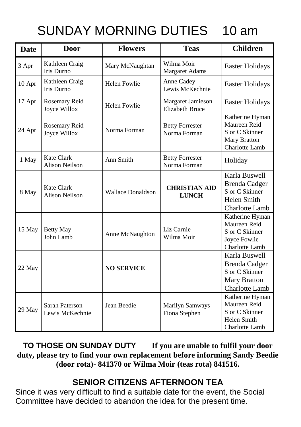## SUNDAY MORNING DUTIES 10 am

| <b>Date</b> | <b>Door</b>                                | <b>Flowers</b>           | <b>Teas</b>                                        | <b>Children</b>                                                                                  |
|-------------|--------------------------------------------|--------------------------|----------------------------------------------------|--------------------------------------------------------------------------------------------------|
| 3 Apr       | Kathleen Craig<br>Iris Durno               | Mary McNaughtan          | Wilma Moir<br>Margaret Adams                       | <b>Easter Holidays</b>                                                                           |
| 10 Apr      | Kathleen Craig<br>Iris Durno               | <b>Helen Fowlie</b>      | Anne Cadey<br>Lewis McKechnie                      | Easter Holidays                                                                                  |
| 17 Apr      | Rosemary Reid<br>Joyce Willox              | <b>Helen Fowlie</b>      | <b>Margaret Jamieson</b><br><b>Elizabeth Bruce</b> | <b>Easter Holidays</b>                                                                           |
| 24 Apr      | Rosemary Reid<br>Joyce Willox              | Norma Forman             | <b>Betty Forrester</b><br>Norma Forman             | Katherine Hyman<br>Maureen Reid<br>S or C Skinner<br>Mary Bratton<br>Charlotte Lamb              |
| 1 May       | <b>Kate Clark</b><br><b>Alison Neilson</b> | Ann Smith                | <b>Betty Forrester</b><br>Norma Forman             | Holiday                                                                                          |
| 8 May       | Kate Clark<br>Alison Neilson               | <b>Wallace Donaldson</b> | <b>CHRISTIAN AID</b><br><b>LUNCH</b>               | Karla Buswell<br><b>Brenda Cadger</b><br>S or C Skinner<br><b>Helen Smith</b><br>Charlotte Lamb  |
| 15 May      | <b>Betty May</b><br>John Lamb              | Anne McNaughton          | Liz Carnie<br>Wilma Moir                           | Katherine Hyman<br>Maureen Reid<br>S or C Skinner<br>Joyce Fowlie<br>Charlotte Lamb              |
| 22 May      |                                            | <b>NO SERVICE</b>        |                                                    | Karla Buswell<br><b>Brenda Cadger</b><br>S or C Skinner<br><b>Mary Bratton</b><br>Charlotte Lamb |
| 29 May      | Sarah Paterson<br>Lewis McKechnie          | Jean Beedie              | Marilyn Samways<br>Fiona Stephen                   | Katherine Hyman<br>Maureen Reid<br>S or C Skinner<br>Helen Smith<br><b>Charlotte Lamb</b>        |

**TO THOSE ON SUNDAY DUTY If you are unable to fulfil your door duty, please try to find your own replacement before informing Sandy Beedie (door rota)- 841370 or Wilma Moir (teas rota) 841516.**

### **SENIOR CITIZENS AFTERNOON TEA**

Since it was very difficult to find a suitable date for the event, the Social Committee have decided to abandon the idea for the present time.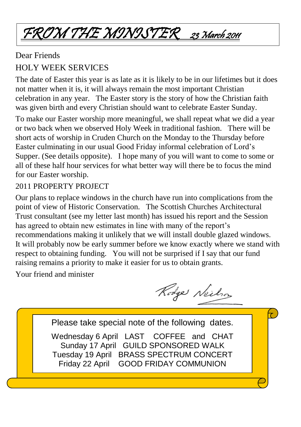# FROM THE MINISTER 23 March 2011

### Dear Friends HOLY WEEK SERVICES

The date of Easter this year is as late as it is likely to be in our lifetimes but it does not matter when it is, it will always remain the most important Christian celebration in any year. The Easter story is the story of how the Christian faith was given birth and every Christian should want to celebrate Easter Sunday.

To make our Easter worship more meaningful, we shall repeat what we did a year or two back when we observed Holy Week in traditional fashion. There will be short acts of worship in Cruden Church on the Monday to the Thursday before Easter culminating in our usual Good Friday informal celebration of Lord's Supper. (See details opposite). I hope many of you will want to come to some or all of these half hour services for what better way will there be to focus the mind for our Easter worship.

### 2011 PROPERTY PROJECT

Our plans to replace windows in the church have run into complications from the point of view of Historic Conservation. The Scottish Churches Architectural Trust consultant (see my letter last month) has issued his report and the Session has agreed to obtain new estimates in line with many of the report's recommendations making it unlikely that we will install double glazed windows. It will probably now be early summer before we know exactly where we stand with respect to obtaining funding. You will not be surprised if I say that our fund raising remains a priority to make it easier for us to obtain grants.

Your friend and minister

Rodge Neilson

 $\tau$ 

Please take special note of the following dates. Wednesday 6 April LAST COFFEE and CHAT Sunday 17 April GUILD SPONSORED WALK Tuesday 19 April BRASS SPECTRUM CONCERT Friday 22 April GOOD FRIDAY COMMUNION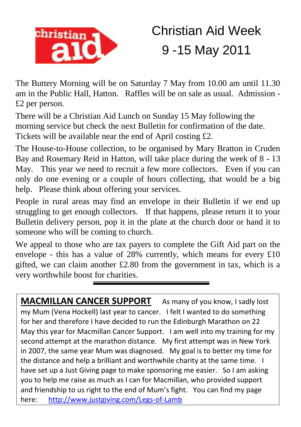

# Christian Aid Week 9 -15 May 2011

The Buttery Morning will be on Saturday 7 May from 10.00 am until 11.30 am in the Public Hall, Hatton. Raffles will be on sale as usual. Admission - £2 per person.

There will be a Christian Aid Lunch on Sunday 15 May following the morning service but check the next Bulletin for confirmation of the date. Tickets will be available near the end of April costing £2.

The House-to-House collection, to be organised by Mary Bratton in Cruden Bay and Rosemary Reid in Hatton, will take place during the week of 8 - 13 May. This year we need to recruit a few more collectors. Even if you can only do one evening or a couple of hours collecting, that would be a big help. Please think about offering your services.

People in rural areas may find an envelope in their Bulletin if we end up struggling to get enough collectors. If that happens, please return it to your Bulletin delivery person, pop it in the plate at the church door or hand it to someone who will be coming to church.

We appeal to those who are tax payers to complete the Gift Aid part on the envelope - this has a value of 28% currently, which means for every £10 gifted, we can claim another  $£2.80$  from the government in tax, which is a very worthwhile boost for charities.

**MACMILLAN CANCER SUPPORT** As many of you know, I sadly lost my Mum (Vena Hockell) last year to cancer. I felt I wanted to do something for her and therefore I have decided to run the Edinburgh Marathon on 22 May this year for Macmillan Cancer Support. I am well into my training for my second attempt at the marathon distance. My first attempt was in New York in 2007, the same year Mum was diagnosed. My goal is to better my time for the distance and help a brilliant and worthwhile charity at the same time. I have set up a Just Giving page to make sponsoring me easier. So I am asking you to help me raise as much as I can for Macmillan, who provided support and friendship to us right to the end of Mum's fight. You can find my page here: http://www.justgiving.com/Legs-of-Lamb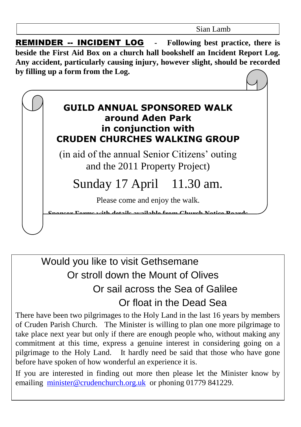REMINDER -- INCIDENT LOG **- Following best practice, there is beside the First Aid Box on a church hall bookshelf an Incident Report Log. Any accident, particularly causing injury, however slight, should be recorded by filling up a form from the Log.**



### Would you like to visit Gethsemane Or stroll down the Mount of Olives Or sail across the Sea of Galilee Or float in the Dead Sea

There have been two pilgrimages to the Holy Land in the last 16 years by members of Cruden Parish Church. The Minister is willing to plan one more pilgrimage to take place next year but only if there are enough people who, without making any commitment at this time, express a genuine interest in considering going on a pilgrimage to the Holy Land. It hardly need be said that those who have gone before have spoken of how wonderful an experience it is.

If you are interested in finding out more then please let the Minister know by emailing [minister@crudenchurch.org.uk](mailto:minister@crudenchurch.org.uk) or phoning 01779 841229.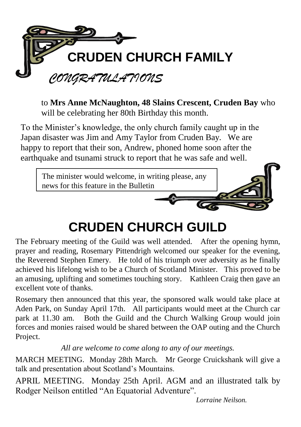

to **Mrs Anne McNaughton, 48 Slains Crescent, Cruden Bay** who will be celebrating her 80th Birthday this month.

To the Minister's knowledge, the only church family caught up in the Japan disaster was Jim and Amy Taylor from Cruden Bay. We are happy to report that their son, Andrew, phoned home soon after the earthquake and tsunami struck to report that he was safe and well.



# **CRUDEN CHURCH GUILD**

The February meeting of the Guild was well attended. After the opening hymn, prayer and reading, Rosemary Pittendrigh welcomed our speaker for the evening, the Reverend Stephen Emery. He told of his triumph over adversity as he finally achieved his lifelong wish to be a Church of Scotland Minister. This proved to be an amusing, uplifting and sometimes touching story. Kathleen Craig then gave an excellent vote of thanks.

Rosemary then announced that this year, the sponsored walk would take place at Aden Park, on Sunday April 17th. All participants would meet at the Church car park at 11.30 am. Both the Guild and the Church Walking Group would join forces and monies raised would be shared between the OAP outing and the Church Project.

*All are welcome to come along to any of our meetings.*

MARCH MEETING. Monday 28th March. Mr George Cruickshank will give a talk and presentation about Scotland's Mountains.

APRIL MEETING. Monday 25th April. AGM and an illustrated talk by Rodger Neilson entitled "An Equatorial Adventure".

*Lorraine Neilson.*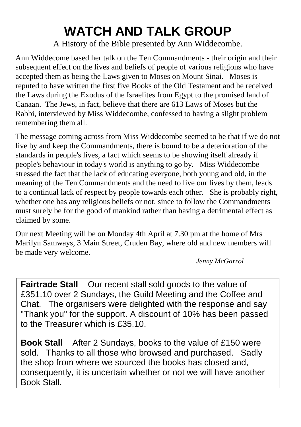# **WATCH AND TALK GROUP**

A History of the Bible presented by Ann Widdecombe.

Ann Widdecome based her talk on the Ten Commandments - their origin and their subsequent effect on the lives and beliefs of people of various religions who have accepted them as being the Laws given to Moses on Mount Sinai. Moses is reputed to have written the first five Books of the Old Testament and he received the Laws during the Exodus of the Israelites from Egypt to the promised land of Canaan. The Jews, in fact, believe that there are 613 Laws of Moses but the Rabbi, interviewed by Miss Widdecombe, confessed to having a slight problem remembering them all.

The message coming across from Miss Widdecombe seemed to be that if we do not live by and keep the Commandments, there is bound to be a deterioration of the standards in people's lives, a fact which seems to be showing itself already if people's behaviour in today's world is anything to go by. Miss Widdecombe stressed the fact that the lack of educating everyone, both young and old, in the meaning of the Ten Commandments and the need to live our lives by them, leads to a continual lack of respect by people towards each other. She is probably right, whether one has any religious beliefs or not, since to follow the Commandments must surely be for the good of mankind rather than having a detrimental effect as claimed by some.

Our next Meeting will be on Monday 4th April at 7.30 pm at the home of Mrs Marilyn Samways, 3 Main Street, Cruden Bay, where old and new members will be made very welcome.

*Jenny McGarrol*

**Fairtrade Stall** Our recent stall sold goods to the value of £351.10 over 2 Sundays, the Guild Meeting and the Coffee and Chat. The organisers were delighted with the response and say "Thank you" for the support. A discount of 10% has been passed to the Treasurer which is £35.10.

**Book Stall** After 2 Sundays, books to the value of £150 were sold. Thanks to all those who browsed and purchased. Sadly the shop from where we sourced the books has closed and, consequently, it is uncertain whether or not we will have another Book Stall.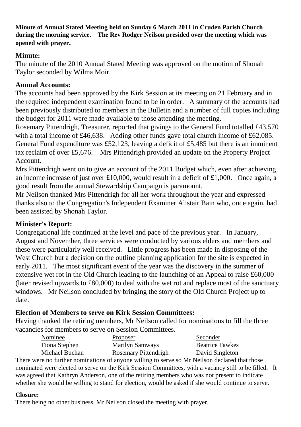**Minute of Annual Stated Meeting held on Sunday 6 March 2011 in Cruden Parish Church during the morning service. The Rev Rodger Neilson presided over the meeting which was opened with prayer.**

#### **Minute:**

The minute of the 2010 Annual Stated Meeting was approved on the motion of Shonah Taylor seconded by Wilma Moir.

#### **Annual Accounts:**

The accounts had been approved by the Kirk Session at its meeting on 21 February and in the required independent examination found to be in order. A summary of the accounts had been previously distributed to members in the Bulletin and a number of full copies including the budget for 2011 were made available to those attending the meeting.

Rosemary Pittendrigh, Treasurer, reported that givings to the General Fund totalled £43,570 with a total income of £46,638. Adding other funds gave total church income of £62,085. General Fund expenditure was £52,123, leaving a deficit of £5,485 but there is an imminent tax reclaim of over £5,676. Mrs Pittendrigh provided an update on the Property Project Account.

Mrs Pittendrigh went on to give an account of the 2011 Budget which, even after achieving an income increase of just over £10,000, would result in a deficit of £1,000. Once again, a good result from the annual Stewardship Campaign is paramount.

Mr Neilson thanked Mrs Pittendrigh for all her work throughout the year and expressed thanks also to the Congregation's Independent Examiner Alistair Bain who, once again, had been assisted by Shonah Taylor.

#### **Minister's Report:**

Congregational life continued at the level and pace of the previous year. In January, August and November, three services were conducted by various elders and members and these were particularly well received. Little progress has been made in disposing of the West Church but a decision on the outline planning application for the site is expected in early 2011. The most significant event of the year was the discovery in the summer of extensive wet rot in the Old Church leading to the launching of an Appeal to raise £60,000 (later revised upwards to £80,000) to deal with the wet rot and replace most of the sanctuary windows. Mr Neilson concluded by bringing the story of the Old Church Project up to date.

#### **Election of Members to serve on Kirk Session Committees:**

Having thanked the retiring members, Mr Neilson called for nominations to fill the three vacancies for members to serve on Session Committees.

| Nominee        | <b>Proposer</b>      | Seconder               |
|----------------|----------------------|------------------------|
| Fiona Stephen  | Marilyn Samways      | <b>Beatrice Fawkes</b> |
| Michael Buchan | Rosemary Pittendrigh | David Singleton        |

There were no further nominations of anyone willing to serve so Mr Neilson declared that those nominated were elected to serve on the Kirk Session Committees, with a vacancy still to be filled. It was agreed that Kathryn Anderson, one of the retiring members who was not present to indicate whether she would be willing to stand for election, would be asked if she would continue to serve.

#### **Closure:**

There being no other business, Mr Neilson closed the meeting with prayer.